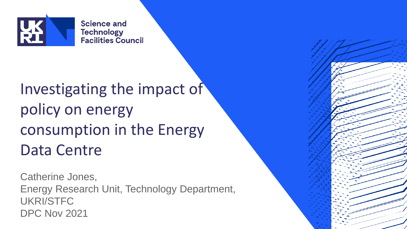

**Science and Technology Facilities Council** 

### Investigating the impact of policy on energy consumption in the Energy Data Centre

Catherine Jones, Energy Research Unit, Technology Department, UKRI/STFC DPC Nov 2021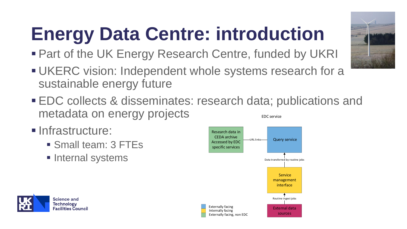# **Energy Data Centre: introduction**

- Part of the UK Energy Research Centre, funded by UKRI
- **UKERC vision: Independent whole systems research for a** sustainable energy future
- EDC collects & disseminates: research data; publications and metadata on energy projects EDC service
- **<u>■ Infrastructure:</u>**

**Science and** Technology **Facilities Council** 

- Small team: 3 FTEs
- **E** Internal systems



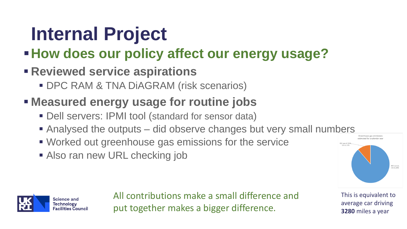### **Internal Project**

### ▪**How does our policy affect our energy usage?**

#### ▪ **Reviewed service aspirations**

**• DPC RAM & TNA DIAGRAM (risk scenarios)** 

#### ▪ **Measured energy usage for routine jobs**

- Dell servers: IPMI tool (standard for sensor data)
- Analysed the outputs did observe changes but very small numbers
- Worked out greenhouse gas emissions for the service
- Also ran new URL checking job





All contributions make a small difference and put together makes a bigger difference.

This is equivalent to average car driving **3280** miles a year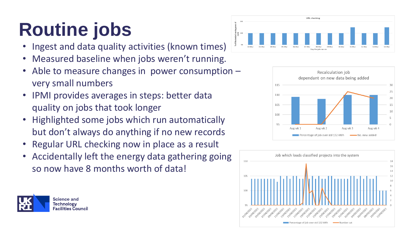## **Routine jobs**

- Ingest and data quality activities (known times)
- Measured baseline when jobs weren't running.
- Able to measure changes in power consumption  $$ very small numbers
- IPMI provides averages in steps: better data quality on jobs that took longer
- Highlighted some jobs which run automatically but don't always do anything if no new records
- Regular URL checking now in place as a result
- Accidentally left the energy data gathering going so now have 8 months worth of data!







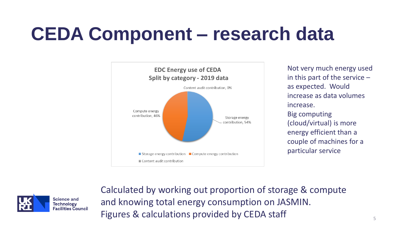### **CEDA Component – research data**



Not very much energy used in this part of the service – as expected. Would increase as data volumes increase. Big computing (cloud/virtual) is more energy efficient than a couple of machines for a particular service



Calculated by working out proportion of storage & compute and knowing total energy consumption on JASMIN. Figures & calculations provided by CEDA staff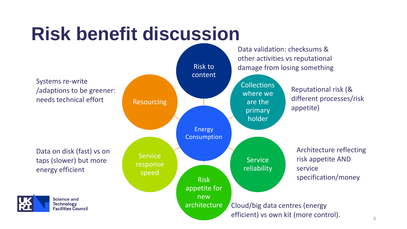### **Risk benefit discussion**



6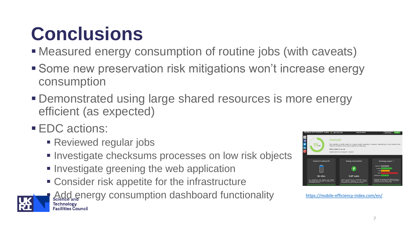### **Conclusions**

- Measured energy consumption of routine jobs (with caveats)
- Some new preservation risk mitigations won't increase energy consumption
- **Demonstrated using large shared resources is more energy** efficient (as expected)
- **EDC** actions:
	- **Reviewed regular jobs**
	- **EXECTE:** Investigate checksums processes on low risk objects
	- **. Investigate greening the web application**
	- Consider risk appetite for the infrastructure





<https://mobile-efficiency-index.com/en/>